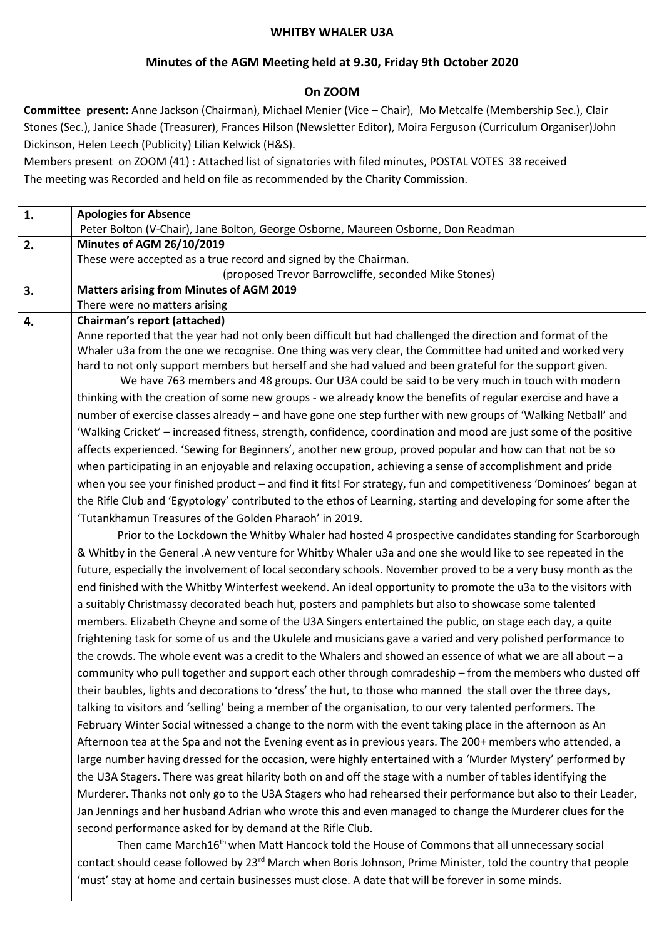#### **WHITBY WHALER U3A**

### **Minutes of the AGM Meeting held at 9.30, Friday 9th October 2020**

### **On ZOOM**

**Committee present:** Anne Jackson (Chairman), Michael Menier (Vice – Chair), Mo Metcalfe (Membership Sec.), Clair Stones (Sec.), Janice Shade (Treasurer), Frances Hilson (Newsletter Editor), Moira Ferguson (Curriculum Organiser)John Dickinson, Helen Leech (Publicity) Lilian Kelwick (H&S).

Members present on ZOOM (41) : Attached list of signatories with filed minutes, POSTAL VOTES 38 received The meeting was Recorded and held on file as recommended by the Charity Commission.

| $\mathbf{1}$ . | <b>Apologies for Absence</b>                                                                                     |
|----------------|------------------------------------------------------------------------------------------------------------------|
|                | Peter Bolton (V-Chair), Jane Bolton, George Osborne, Maureen Osborne, Don Readman                                |
| 2.             | <b>Minutes of AGM 26/10/2019</b>                                                                                 |
|                | These were accepted as a true record and signed by the Chairman.                                                 |
|                | (proposed Trevor Barrowcliffe, seconded Mike Stones)                                                             |
| 3.             | <b>Matters arising from Minutes of AGM 2019</b><br>There were no matters arising                                 |
| 4.             | <b>Chairman's report (attached)</b>                                                                              |
|                | Anne reported that the year had not only been difficult but had challenged the direction and format of the       |
|                | Whaler u3a from the one we recognise. One thing was very clear, the Committee had united and worked very         |
|                | hard to not only support members but herself and she had valued and been grateful for the support given.         |
|                | We have 763 members and 48 groups. Our U3A could be said to be very much in touch with modern                    |
|                | thinking with the creation of some new groups - we already know the benefits of regular exercise and have a      |
|                | number of exercise classes already - and have gone one step further with new groups of 'Walking Netball' and     |
|                | 'Walking Cricket' - increased fitness, strength, confidence, coordination and mood are just some of the positive |
|                | affects experienced. 'Sewing for Beginners', another new group, proved popular and how can that not be so        |
|                | when participating in an enjoyable and relaxing occupation, achieving a sense of accomplishment and pride        |
|                | when you see your finished product - and find it fits! For strategy, fun and competitiveness 'Dominoes' began at |
|                | the Rifle Club and 'Egyptology' contributed to the ethos of Learning, starting and developing for some after the |
|                | 'Tutankhamun Treasures of the Golden Pharaoh' in 2019.                                                           |
|                | Prior to the Lockdown the Whitby Whaler had hosted 4 prospective candidates standing for Scarborough             |
|                | & Whitby in the General .A new venture for Whitby Whaler u3a and one she would like to see repeated in the       |
|                | future, especially the involvement of local secondary schools. November proved to be a very busy month as the    |
|                | end finished with the Whitby Winterfest weekend. An ideal opportunity to promote the u3a to the visitors with    |
|                | a suitably Christmassy decorated beach hut, posters and pamphlets but also to showcase some talented             |
|                | members. Elizabeth Cheyne and some of the U3A Singers entertained the public, on stage each day, a quite         |
|                | frightening task for some of us and the Ukulele and musicians gave a varied and very polished performance to     |
|                | the crowds. The whole event was a credit to the Whalers and showed an essence of what we are all about - a       |
|                | community who pull together and support each other through comradeship - from the members who dusted off         |
|                | their baubles, lights and decorations to 'dress' the hut, to those who manned the stall over the three days,     |
|                | talking to visitors and 'selling' being a member of the organisation, to our very talented performers. The       |
|                | February Winter Social witnessed a change to the norm with the event taking place in the afternoon as An         |
|                | Afternoon tea at the Spa and not the Evening event as in previous years. The 200+ members who attended, a        |
|                | large number having dressed for the occasion, were highly entertained with a 'Murder Mystery' performed by       |
|                | the U3A Stagers. There was great hilarity both on and off the stage with a number of tables identifying the      |
|                | Murderer. Thanks not only go to the U3A Stagers who had rehearsed their performance but also to their Leader,    |
|                | Jan Jennings and her husband Adrian who wrote this and even managed to change the Murderer clues for the         |
|                | second performance asked for by demand at the Rifle Club.                                                        |
|                | Then came March16 <sup>th</sup> when Matt Hancock told the House of Commons that all unnecessary social          |

contact should cease followed by 23<sup>rd</sup> March when Boris Johnson, Prime Minister, told the country that people 'must' stay at home and certain businesses must close. A date that will be forever in some minds.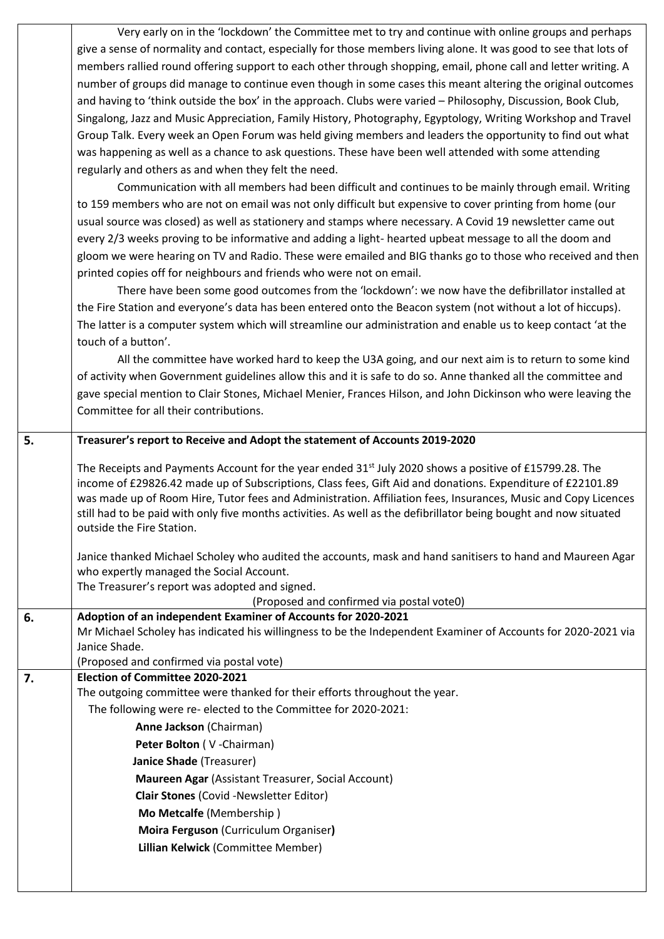| Very early on in the 'lockdown' the Committee met to try and continue with online groups and perhaps              |
|-------------------------------------------------------------------------------------------------------------------|
| give a sense of normality and contact, especially for those members living alone. It was good to see that lots of |
| members rallied round offering support to each other through shopping, email, phone call and letter writing. A    |
| number of groups did manage to continue even though in some cases this meant altering the original outcomes       |
| and having to 'think outside the box' in the approach. Clubs were varied - Philosophy, Discussion, Book Club,     |
| Singalong, Jazz and Music Appreciation, Family History, Photography, Egyptology, Writing Workshop and Travel      |
| Group Talk. Every week an Open Forum was held giving members and leaders the opportunity to find out what         |
| was happening as well as a chance to ask questions. These have been well attended with some attending             |
| regularly and others as and when they felt the need.                                                              |
| Communication with all members had been difficult and continues to be mainly through email Writing                |

vith all members had been difficult and continues to be mainly through email. Writing to 159 members who are not on email was not only difficult but expensive to cover printing from home (our usual source was closed) as well as stationery and stamps where necessary. A Covid 19 newsletter came out every 2/3 weeks proving to be informative and adding a light- hearted upbeat message to all the doom and gloom we were hearing on TV and Radio. These were emailed and BIG thanks go to those who received and then printed copies off for neighbours and friends who were not on email.

There have been some good outcomes from the 'lockdown': we now have the defibrillator installed at the Fire Station and everyone's data has been entered onto the Beacon system (not without a lot of hiccups). The latter is a computer system which will streamline our administration and enable us to keep contact 'at the touch of a button'.

All the committee have worked hard to keep the U3A going, and our next aim is to return to some kind of activity when Government guidelines allow this and it is safe to do so. Anne thanked all the committee and gave special mention to Clair Stones, Michael Menier, Frances Hilson, and John Dickinson who were leaving the Committee for all their contributions.

| 5. | Treasurer's report to Receive and Adopt the statement of Accounts 2019-2020                                                                                                                                                                                                                                                                                                                                                                                                                |  |  |
|----|--------------------------------------------------------------------------------------------------------------------------------------------------------------------------------------------------------------------------------------------------------------------------------------------------------------------------------------------------------------------------------------------------------------------------------------------------------------------------------------------|--|--|
|    | The Receipts and Payments Account for the year ended $31st$ July 2020 shows a positive of £15799.28. The<br>income of £29826.42 made up of Subscriptions, Class fees, Gift Aid and donations. Expenditure of £22101.89<br>was made up of Room Hire, Tutor fees and Administration. Affiliation fees, Insurances, Music and Copy Licences<br>still had to be paid with only five months activities. As well as the defibrillator being bought and now situated<br>outside the Fire Station. |  |  |
|    | Janice thanked Michael Scholey who audited the accounts, mask and hand sanitisers to hand and Maureen Agar<br>who expertly managed the Social Account.                                                                                                                                                                                                                                                                                                                                     |  |  |
|    | The Treasurer's report was adopted and signed.                                                                                                                                                                                                                                                                                                                                                                                                                                             |  |  |
|    | (Proposed and confirmed via postal vote0)                                                                                                                                                                                                                                                                                                                                                                                                                                                  |  |  |
| 6. | Adoption of an independent Examiner of Accounts for 2020-2021                                                                                                                                                                                                                                                                                                                                                                                                                              |  |  |
|    | Mr Michael Scholey has indicated his willingness to be the Independent Examiner of Accounts for 2020-2021 via<br>Janice Shade.                                                                                                                                                                                                                                                                                                                                                             |  |  |
|    | (Proposed and confirmed via postal vote)                                                                                                                                                                                                                                                                                                                                                                                                                                                   |  |  |
| 7. | Election of Committee 2020-2021                                                                                                                                                                                                                                                                                                                                                                                                                                                            |  |  |
|    | The outgoing committee were thanked for their efforts throughout the year.                                                                                                                                                                                                                                                                                                                                                                                                                 |  |  |
|    | The following were re- elected to the Committee for 2020-2021:                                                                                                                                                                                                                                                                                                                                                                                                                             |  |  |
|    | Anne Jackson (Chairman)                                                                                                                                                                                                                                                                                                                                                                                                                                                                    |  |  |
|    | Peter Bolton (V-Chairman)                                                                                                                                                                                                                                                                                                                                                                                                                                                                  |  |  |
|    | Janice Shade (Treasurer)                                                                                                                                                                                                                                                                                                                                                                                                                                                                   |  |  |
|    | Maureen Agar (Assistant Treasurer, Social Account)                                                                                                                                                                                                                                                                                                                                                                                                                                         |  |  |
|    | <b>Clair Stones (Covid -Newsletter Editor)</b>                                                                                                                                                                                                                                                                                                                                                                                                                                             |  |  |
|    | Mo Metcalfe (Membership)                                                                                                                                                                                                                                                                                                                                                                                                                                                                   |  |  |
|    | Moira Ferguson (Curriculum Organiser)                                                                                                                                                                                                                                                                                                                                                                                                                                                      |  |  |
|    | Lillian Kelwick (Committee Member)                                                                                                                                                                                                                                                                                                                                                                                                                                                         |  |  |
|    |                                                                                                                                                                                                                                                                                                                                                                                                                                                                                            |  |  |
|    |                                                                                                                                                                                                                                                                                                                                                                                                                                                                                            |  |  |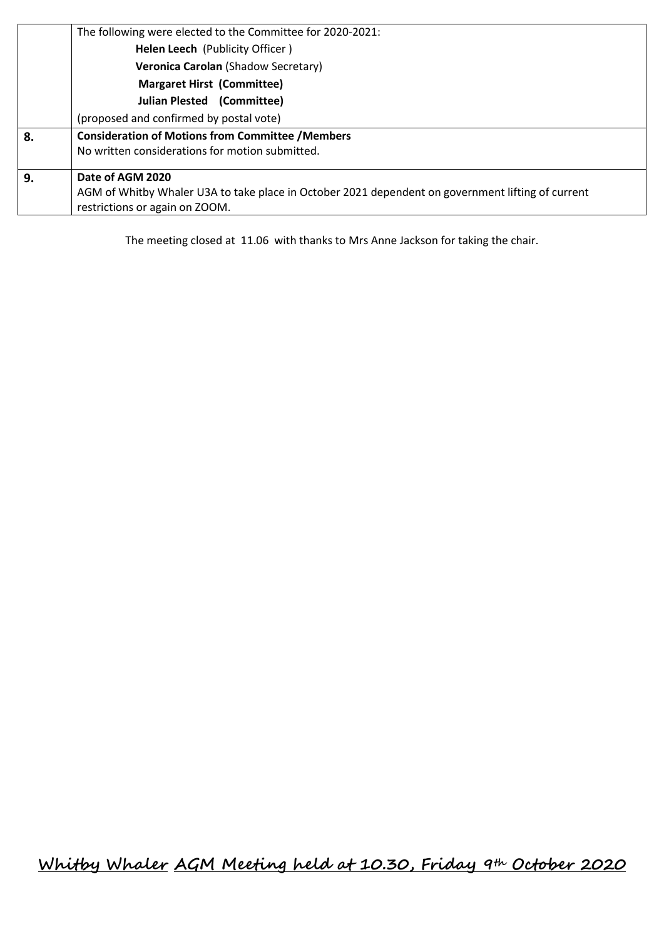|                            | The following were elected to the Committee for 2020-2021:                                        |  |  |  |  |  |
|----------------------------|---------------------------------------------------------------------------------------------------|--|--|--|--|--|
|                            | Helen Leech (Publicity Officer)                                                                   |  |  |  |  |  |
|                            | Veronica Carolan (Shadow Secretary)                                                               |  |  |  |  |  |
|                            | <b>Margaret Hirst (Committee)</b>                                                                 |  |  |  |  |  |
| Julian Plested (Committee) |                                                                                                   |  |  |  |  |  |
|                            | (proposed and confirmed by postal vote)                                                           |  |  |  |  |  |
| 8.                         | <b>Consideration of Motions from Committee / Members</b>                                          |  |  |  |  |  |
|                            | No written considerations for motion submitted.                                                   |  |  |  |  |  |
| 9.                         | Date of AGM 2020                                                                                  |  |  |  |  |  |
|                            | AGM of Whitby Whaler U3A to take place in October 2021 dependent on government lifting of current |  |  |  |  |  |
|                            | restrictions or again on ZOOM.                                                                    |  |  |  |  |  |

The meeting closed at 11.06 with thanks to Mrs Anne Jackson for taking the chair.

**Whitby Whaler AGM Meeting held at 10.30, Friday 9th October 2020**